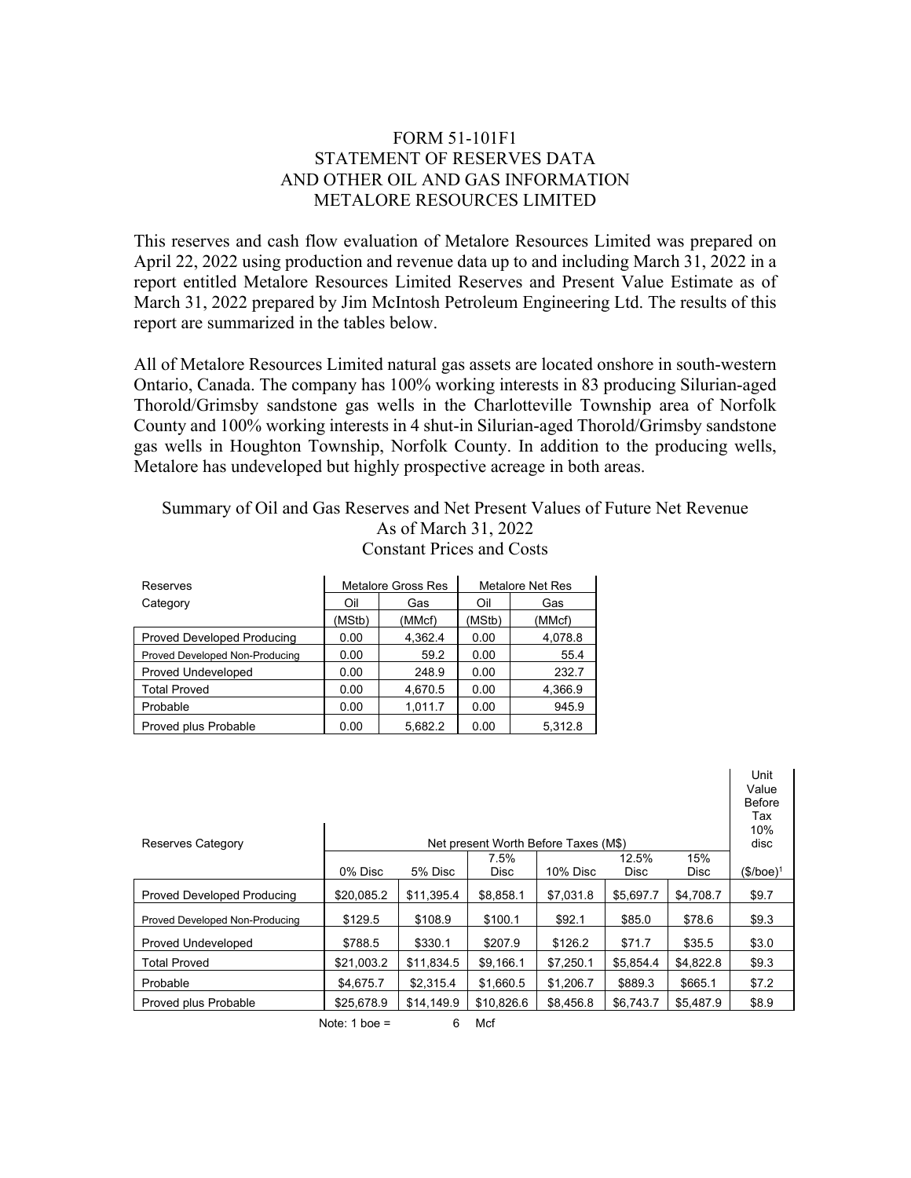## FORM 51-101F1 STATEMENT OF RESERVES DATA AND OTHER OIL AND GAS INFORMATION METALORE RESOURCES LIMITED

This reserves and cash flow evaluation of Metalore Resources Limited was prepared on April 22, 2022 using production and revenue data up to and including March 31, 2022 in a report entitled Metalore Resources Limited Reserves and Present Value Estimate as of March 31, 2022 prepared by Jim McIntosh Petroleum Engineering Ltd. The results of this report are summarized in the tables below.

All of Metalore Resources Limited natural gas assets are located onshore in south-western Ontario, Canada. The company has 100% working interests in 83 producing Silurian-aged Thorold/Grimsby sandstone gas wells in the Charlotteville Township area of Norfolk County and 100% working interests in 4 shut-in Silurian-aged Thorold/Grimsby sandstone gas wells in Houghton Township, Norfolk County. In addition to the producing wells, Metalore has undeveloped but highly prospective acreage in both areas.

## Summary of Oil and Gas Reserves and Net Present Values of Future Net Revenue As of March 31, 2022 Constant Prices and Costs

| Reserves                          |            | <b>Metalore Gross Res</b> | Metalore Net Res |         |  |
|-----------------------------------|------------|---------------------------|------------------|---------|--|
| Category                          | Oil<br>Gas |                           | Oil              | Gas     |  |
|                                   | (MStb)     | (MMcf)                    | (MStb)           | (MMcf)  |  |
| <b>Proved Developed Producing</b> | 0.00       | 4,362.4                   | 0.00             | 4,078.8 |  |
| Proved Developed Non-Producing    | 0.00       | 59.2                      | 0.00             | 55.4    |  |
| Proved Undeveloped                | 0.00       | 248.9                     | 0.00             | 232.7   |  |
| <b>Total Proved</b>               | 0.00       | 4,670.5                   | 0.00             | 4,366.9 |  |
| Probable                          | 0.00       | 1.011.7                   | 0.00             | 945.9   |  |
| Proved plus Probable              | 0.00       | 5.682.2                   | 0.00             | 5.312.8 |  |

|                                                           |            |            |             |           |             |             | Unit<br>Value<br><b>Before</b><br>Tax<br>10% |
|-----------------------------------------------------------|------------|------------|-------------|-----------|-------------|-------------|----------------------------------------------|
| Reserves Category<br>Net present Worth Before Taxes (M\$) |            |            |             |           |             |             | disc                                         |
|                                                           |            |            | 7.5%        |           | 12.5%       | 15%         |                                              |
|                                                           | 0% Disc    | 5% Disc    | <b>Disc</b> | 10% Disc  | <b>Disc</b> | <b>Disc</b> | $($/boe)^1$                                  |
| Proved Developed Producing                                | \$20,085.2 | \$11.395.4 | \$8,858.1   | \$7,031.8 | \$5,697.7   | \$4,708.7   | \$9.7                                        |
| Proved Developed Non-Producing                            | \$129.5    | \$108.9    | \$100.1     | \$92.1    | \$85.0      | \$78.6      | \$9.3                                        |
| <b>Proved Undeveloped</b>                                 | \$788.5    | \$330.1    | \$207.9     | \$126.2   | \$71.7      | \$35.5      | \$3.0                                        |
| <b>Total Proved</b>                                       | \$21,003.2 | \$11,834.5 | \$9,166.1   | \$7,250.1 | \$5,854.4   | \$4,822.8   | \$9.3                                        |
| Probable                                                  | \$4,675.7  | \$2.315.4  | \$1.660.5   | \$1,206.7 | \$889.3     | \$665.1     | \$7.2                                        |
| Proved plus Probable                                      | \$25.678.9 | \$14,149.9 | \$10,826.6  | \$8.456.8 | \$6,743.7   | \$5.487.9   | \$8.9                                        |
|                                                           |            |            |             |           |             |             |                                              |

Note:  $1$  boe = 6 Mcf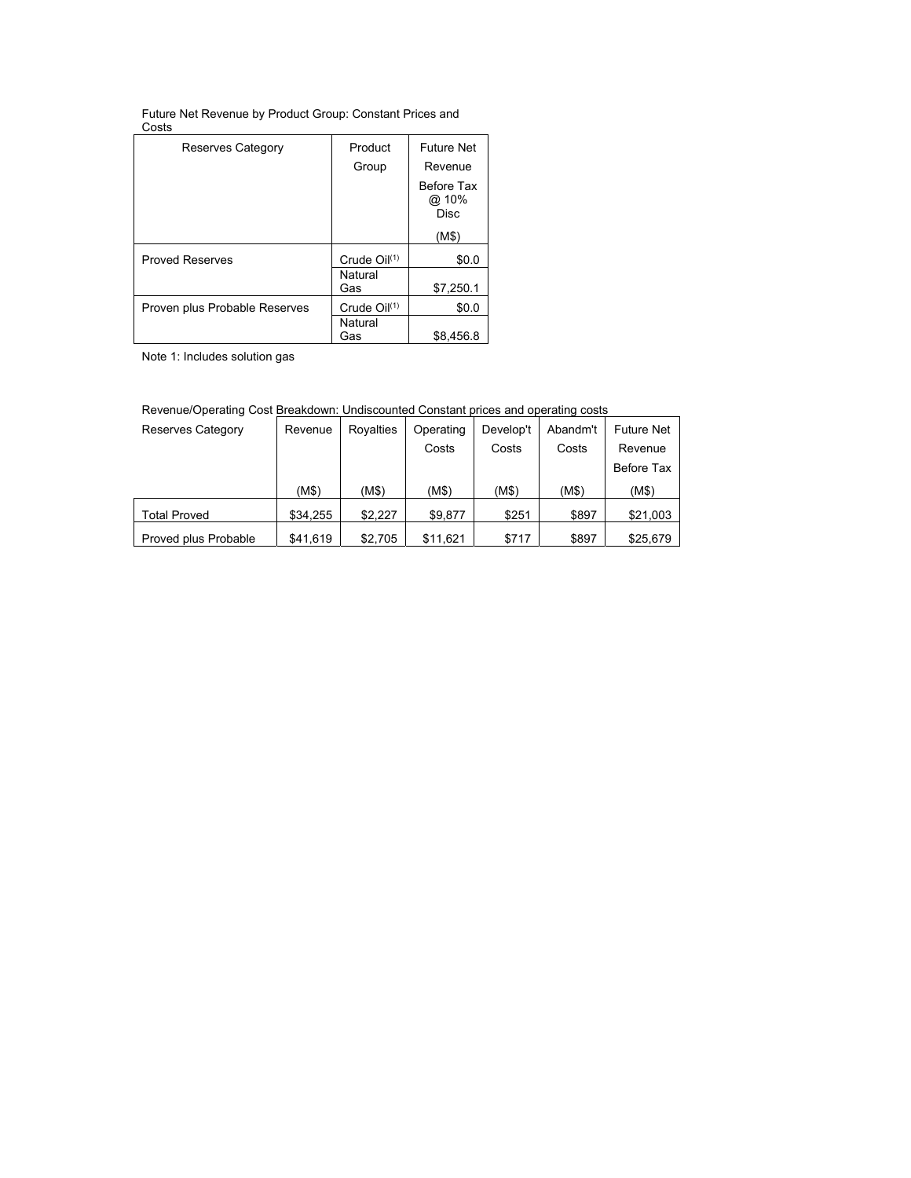| Future Net Revenue by Product Group: Constant Prices and |  |
|----------------------------------------------------------|--|
| Costs                                                    |  |

| Reserves Category             | Product                  | <b>Future Net</b>                  |  |  |
|-------------------------------|--------------------------|------------------------------------|--|--|
|                               | Group                    | Revenue                            |  |  |
|                               |                          | Before Tax<br>@ 10%<br><b>Disc</b> |  |  |
|                               |                          | (M\$)                              |  |  |
| <b>Proved Reserves</b>        | Crude Oil <sup>(1)</sup> | \$0.0                              |  |  |
|                               | Natural<br>Gas           | \$7,250.1                          |  |  |
| Proven plus Probable Reserves | Crude $Oil^{(1)}$        | \$0.0                              |  |  |
|                               | Natural<br>Gas           | \$8,456.8                          |  |  |

Note 1: Includes solution gas

|                          | , wrondo, operating occi Brodhaemii. Onaleceanica ochelani phoce and operating cocle |           |           |           |          |                   |  |  |  |
|--------------------------|--------------------------------------------------------------------------------------|-----------|-----------|-----------|----------|-------------------|--|--|--|
| <b>Reserves Category</b> | Revenue                                                                              | Royalties | Operating | Develop't | Abandm't | <b>Future Net</b> |  |  |  |
|                          |                                                                                      |           | Costs     | Costs     | Costs    | Revenue           |  |  |  |
|                          |                                                                                      |           |           |           |          | Before Tax        |  |  |  |
|                          | (M\$)                                                                                | (M\$)     | (M\$)     | (M\$)     | (M\$)    | (M\$)             |  |  |  |
| <b>Total Proved</b>      | \$34,255                                                                             | \$2.227   | \$9.877   | \$251     | \$897    | \$21,003          |  |  |  |
| Proved plus Probable     | \$41,619                                                                             | \$2,705   | \$11,621  | \$717     | \$897    | \$25.679          |  |  |  |

Revenue/Operating Cost Breakdown: Undiscounted Constant prices and operating costs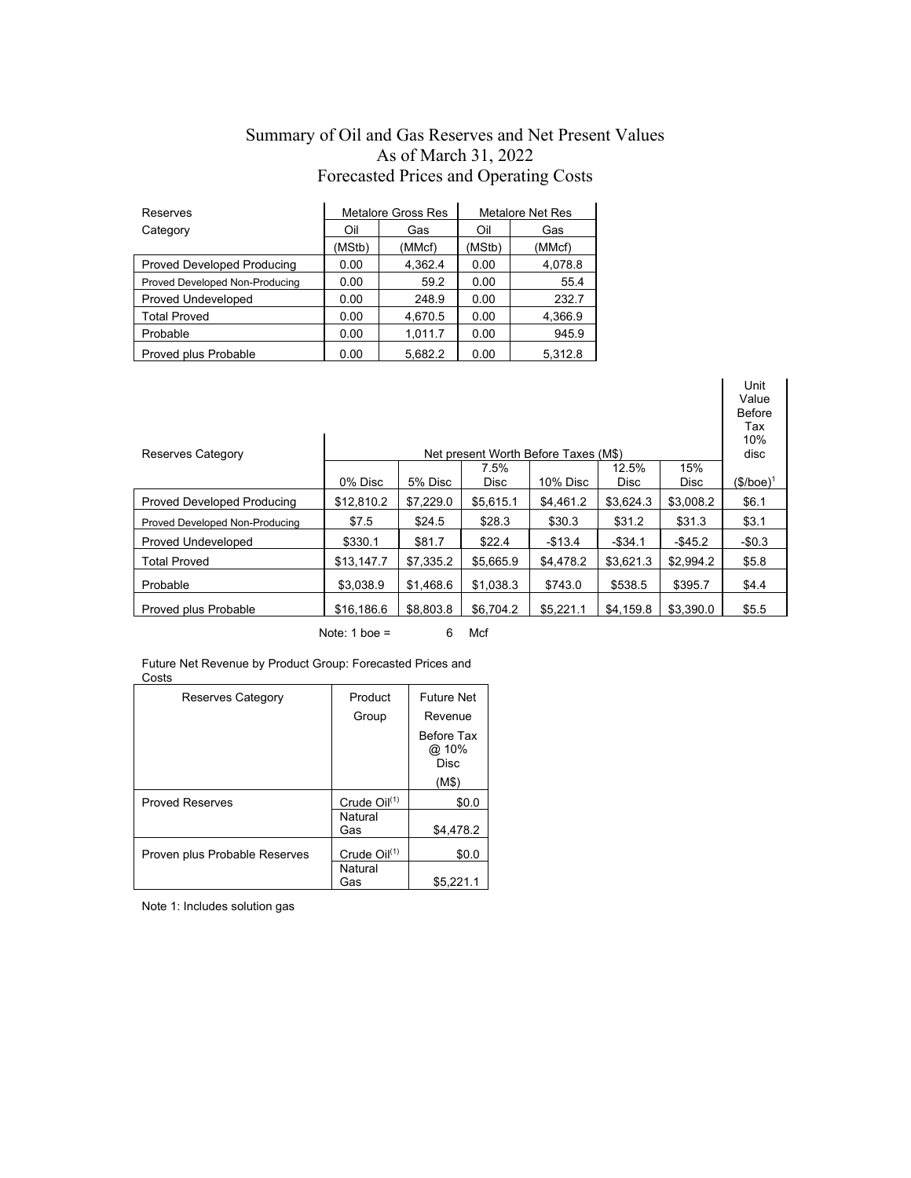# Summary of Oil and Gas Reserves and Net Present Values As of March 31, 2022 Forecasted Prices and Operating Costs

| Reserves                          |            | <b>Metalore Gross Res</b> | <b>Metalore Net Res</b> |         |  |
|-----------------------------------|------------|---------------------------|-------------------------|---------|--|
| Category                          | Oil<br>Gas |                           | Oil                     | Gas     |  |
|                                   | (MStb)     | (MMcf)                    | (MStb)                  | (MMcf)  |  |
| <b>Proved Developed Producing</b> | 0.00       | 4.362.4                   | 0.00                    | 4,078.8 |  |
| Proved Developed Non-Producing    | 0.00       | 59.2                      | 0.00                    | 55.4    |  |
| Proved Undeveloped                | 0.00       | 248.9                     | 0.00                    | 232.7   |  |
| <b>Total Proved</b>               | 0.00       | 4,670.5                   | 0.00                    | 4,366.9 |  |
| Probable                          | 0.00       | 1,011.7                   | 0.00                    | 945.9   |  |
| Proved plus Probable              | 0.00       | 5.682.2                   | 0.00                    | 5.312.8 |  |

|            |           |             |           |             |                                      | <b>Before</b><br>Tax<br>10%<br>disc |
|------------|-----------|-------------|-----------|-------------|--------------------------------------|-------------------------------------|
|            |           | 7.5%        |           | 12.5%       | 15%                                  |                                     |
| 0% Disc    | 5% Disc   | <b>Disc</b> | 10% Disc  | <b>Disc</b> | <b>Disc</b>                          | $(\$/boe)^1$                        |
| \$12,810.2 | \$7.229.0 | \$5,615.1   | \$4.461.2 | \$3.624.3   | \$3,008.2                            | \$6.1                               |
| \$7.5      | \$24.5    | \$28.3      | \$30.3    | \$31.2      | \$31.3                               | \$3.1                               |
| \$330.1    | \$81.7    | \$22.4      | $-$13.4$  | $-$ \$34.1  | $-$ \$45.2                           | $-$0.3$                             |
| \$13.147.7 | \$7.335.2 | \$5.665.9   | \$4.478.2 | \$3,621.3   | \$2.994.2                            | \$5.8                               |
| \$3.038.9  | \$1.468.6 | \$1.038.3   | \$743.0   | \$538.5     | \$395.7                              | \$4.4                               |
| \$16,186.6 | \$8.803.8 | \$6,704.2   | \$5,221.1 | \$4.159.8   | \$3.390.0                            | \$5.5                               |
|            |           |             |           |             | Net present Worth Before Taxes (M\$) |                                     |

Unit Value

Note:  $1$  boe = 6 Mcf

| Future Net Revenue by Product Group: Forecasted Prices and |  |
|------------------------------------------------------------|--|
| Costs                                                      |  |

| Reserves Category             | Product<br>Group  | <b>Future Net</b><br>Revenue       |
|-------------------------------|-------------------|------------------------------------|
|                               |                   | Before Tax<br>@ 10%<br><b>Disc</b> |
|                               |                   | (M\$)                              |
| <b>Proved Reserves</b>        | Crude $O(1)$      | \$0.0                              |
|                               | Natural<br>Gas    | \$4,478.2                          |
| Proven plus Probable Reserves | Crude $Oil^{(1)}$ | \$0.0                              |
|                               | Natural<br>Gas    | \$5,221.1                          |

Note 1: Includes solution gas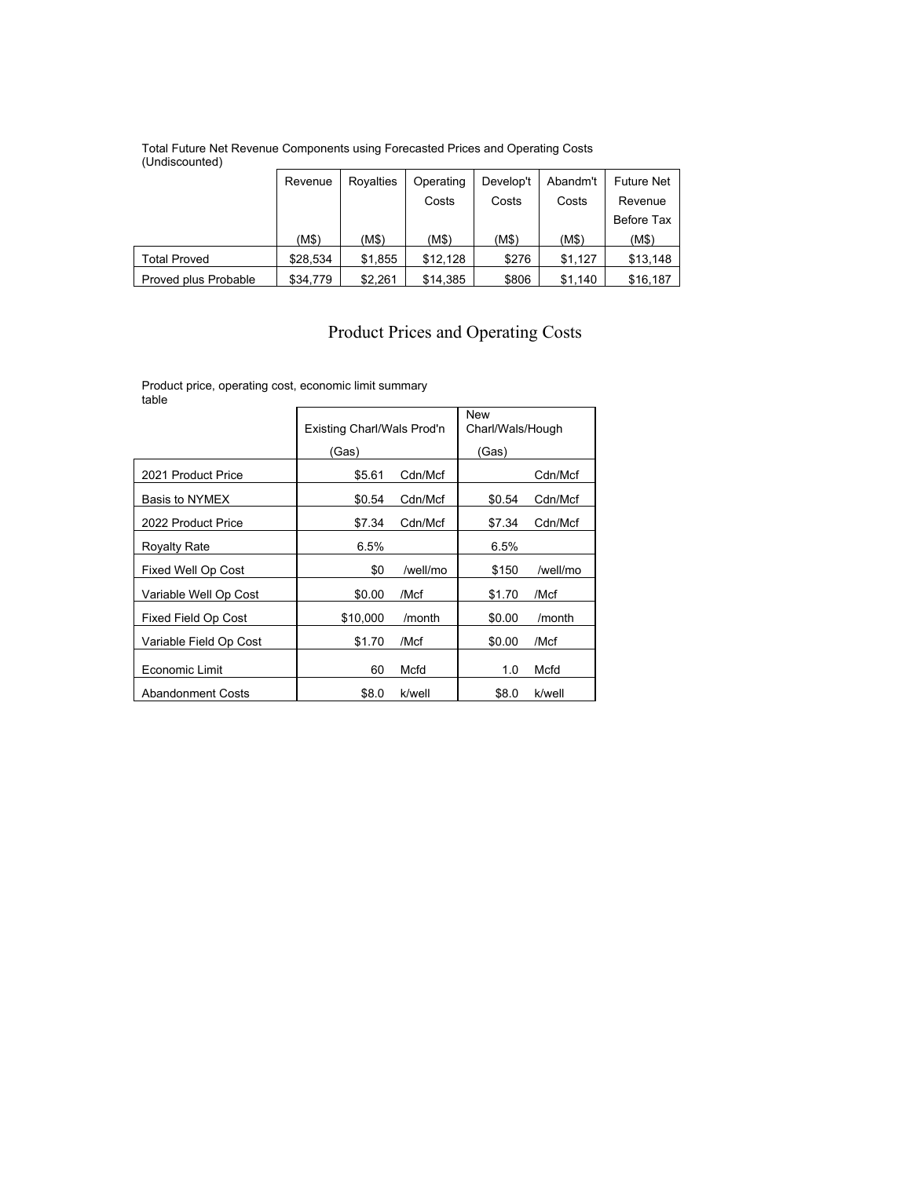#### Total Future Net Revenue Components using Forecasted Prices and Operating Costs (Undiscounted)

|                      | Revenue  | Rovalties | Operating | Develop't | Abandm't | <b>Future Net</b> |
|----------------------|----------|-----------|-----------|-----------|----------|-------------------|
|                      |          |           | Costs     | Costs     | Costs    | Revenue           |
|                      |          |           |           |           |          | Before Tax        |
|                      | (M\$)    | (M\$)     | (M\$)     | (M\$)     | (M\$)    | (M\$)             |
| <b>Total Proved</b>  | \$28,534 | \$1,855   | \$12,128  | \$276     | \$1.127  | \$13,148          |
| Proved plus Probable | \$34,779 | \$2.261   | \$14,385  | \$806     | \$1.140  | \$16,187          |

# Product Prices and Operating Costs

Product price, operating cost, economic limit summary

| table                      |                            |          |                                |          |  |
|----------------------------|----------------------------|----------|--------------------------------|----------|--|
|                            | Existing Charl/Wals Prod'n |          | <b>New</b><br>Charl/Wals/Hough |          |  |
|                            | (Gas)                      |          | (Gas)                          |          |  |
| 2021 Product Price         | \$5.61                     | Cdn/Mcf  |                                | Cdn/Mcf  |  |
| Basis to NYMEX             | \$0.54                     | Cdn/Mcf  | \$0.54                         | Cdn/Mcf  |  |
| 2022 Product Price         | \$7.34                     | Cdn/Mcf  | \$7.34                         | Cdn/Mcf  |  |
| <b>Royalty Rate</b>        | 6.5%                       |          | 6.5%                           |          |  |
| Fixed Well Op Cost         | \$0                        | /well/mo | \$150                          | /well/mo |  |
| Variable Well Op Cost      | \$0.00                     | /Mcf     | \$1.70                         | /Mcf     |  |
| <b>Fixed Field Op Cost</b> | \$10,000                   | /month   | \$0.00                         | /month   |  |
| Variable Field Op Cost     | \$1.70                     | /Mcf     | \$0.00                         | /Mcf     |  |
| Economic Limit             | 60                         | Mcfd     | 1.0                            | Mcfd     |  |
| <b>Abandonment Costs</b>   | \$8.0                      | k/well   | \$8.0                          | k/well   |  |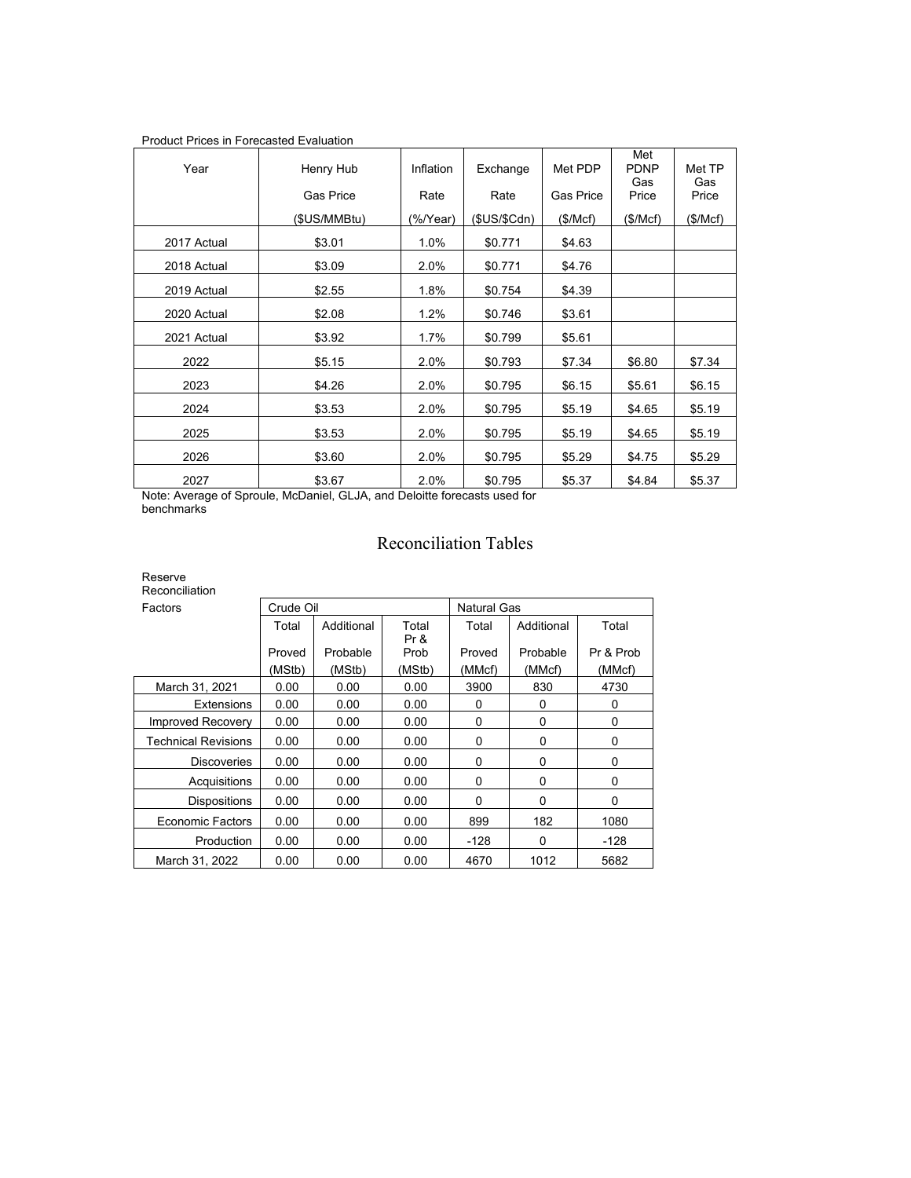| <b>Product Prices in Forecasted Evaluation</b> |                  |           |              |                  |                           |               |  |  |
|------------------------------------------------|------------------|-----------|--------------|------------------|---------------------------|---------------|--|--|
| Year                                           | Henry Hub        | Inflation | Exchange     | Met PDP          | Met<br><b>PDNP</b><br>Gas | Met TP<br>Gas |  |  |
|                                                | <b>Gas Price</b> | Rate      | Rate         | <b>Gas Price</b> | Price                     | Price         |  |  |
|                                                | (\$US/MMBtu)     | (%/Year)  | (\$US/\$Cdn) | (\$/Mcf)         | (\$/Mcf)                  | (\$/Mcf)      |  |  |
| 2017 Actual                                    | \$3.01           | 1.0%      | \$0.771      | \$4.63           |                           |               |  |  |
| 2018 Actual                                    | \$3.09           | 2.0%      | \$0.771      | \$4.76           |                           |               |  |  |
| 2019 Actual                                    | \$2.55           | 1.8%      | \$0.754      | \$4.39           |                           |               |  |  |
| 2020 Actual                                    | \$2.08           | 1.2%      | \$0.746      | \$3.61           |                           |               |  |  |
| 2021 Actual                                    | \$3.92           | 1.7%      | \$0.799      | \$5.61           |                           |               |  |  |
| 2022                                           | \$5.15           | 2.0%      | \$0.793      | \$7.34           | \$6.80                    | \$7.34        |  |  |
| 2023                                           | \$4.26           | 2.0%      | \$0.795      | \$6.15           | \$5.61                    | \$6.15        |  |  |
| 2024                                           | \$3.53           | 2.0%      | \$0.795      | \$5.19           | \$4.65                    | \$5.19        |  |  |
| 2025                                           | \$3.53           | 2.0%      | \$0.795      | \$5.19           | \$4.65                    | \$5.19        |  |  |
| 2026                                           | \$3.60           | 2.0%      | \$0.795      | \$5.29           | \$4.75                    | \$5.29        |  |  |
| 2027                                           | \$3.67           | 2.0%      | \$0.795      | \$5.37           | \$4.84                    | \$5.37        |  |  |

Note: Average of Sproule, McDaniel, GLJA, and Deloitte forecasts used for benchmarks

# Reconciliation Tables

#### Reserve Reconciliation

| <b>NEVULIUMANULI</b>       |           |            |               |                    |            |           |  |  |  |
|----------------------------|-----------|------------|---------------|--------------------|------------|-----------|--|--|--|
| Factors                    | Crude Oil |            |               | <b>Natural Gas</b> |            |           |  |  |  |
|                            | Total     | Additional | Total<br>Pr & | Total              | Additional | Total     |  |  |  |
|                            | Proved    | Probable   | Prob          | Proved             | Probable   | Pr & Prob |  |  |  |
|                            | (MStb)    | (MStb)     | (MStb)        | (MMcf)             | (MMcf)     | (MMcf)    |  |  |  |
| March 31, 2021             | 0.00      | 0.00       | 0.00          | 3900               | 830        | 4730      |  |  |  |
| Extensions                 | 0.00      | 0.00       | 0.00          | 0                  | 0          | 0         |  |  |  |
| <b>Improved Recovery</b>   | 0.00      | 0.00       | 0.00          | $\Omega$           | 0          | 0         |  |  |  |
| <b>Technical Revisions</b> | 0.00      | 0.00       | 0.00          | $\Omega$           | 0          | 0         |  |  |  |
| <b>Discoveries</b>         | 0.00      | 0.00       | 0.00          | $\Omega$           | 0          | 0         |  |  |  |
| Acquisitions               | 0.00      | 0.00       | 0.00          | $\Omega$           | 0          | 0         |  |  |  |
| <b>Dispositions</b>        | 0.00      | 0.00       | 0.00          | 0                  | 0          | 0         |  |  |  |
| Economic Factors           | 0.00      | 0.00       | 0.00          | 899                | 182        | 1080      |  |  |  |
| Production                 | 0.00      | 0.00       | 0.00          | -128               | 0          | -128      |  |  |  |
| March 31, 2022             | 0.00      | 0.00       | 0.00          | 4670               | 1012       | 5682      |  |  |  |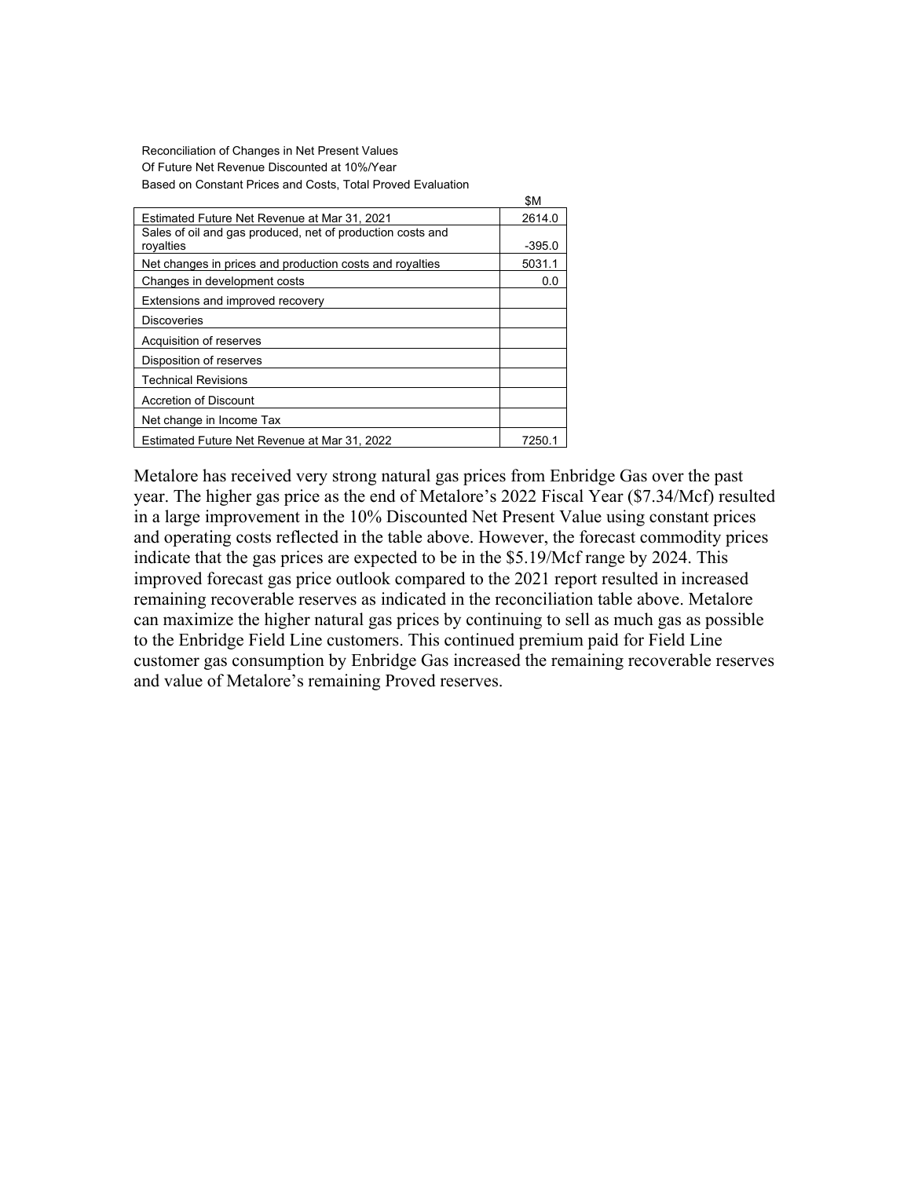Reconciliation of Changes in Net Present Values Of Future Net Revenue Discounted at 10%/Year Based on Constant Prices and Costs, Total Proved Evaluation

|                                                            | olvi     |  |
|------------------------------------------------------------|----------|--|
| Estimated Future Net Revenue at Mar 31, 2021               | 2614.0   |  |
| Sales of oil and gas produced, net of production costs and |          |  |
| royalties                                                  | $-395.0$ |  |
| Net changes in prices and production costs and royalties   |          |  |
| Changes in development costs                               | 0.0      |  |
| Extensions and improved recovery                           |          |  |
| Discoveries                                                |          |  |
| Acquisition of reserves                                    |          |  |
| Disposition of reserves                                    |          |  |
| <b>Technical Revisions</b>                                 |          |  |
| <b>Accretion of Discount</b>                               |          |  |
| Net change in Income Tax                                   |          |  |
| Estimated Future Net Revenue at Mar 31, 2022               |          |  |

Metalore has received very strong natural gas prices from Enbridge Gas over the past year. The higher gas price as the end of Metalore's 2022 Fiscal Year (\$7.34/Mcf) resulted in a large improvement in the 10% Discounted Net Present Value using constant prices and operating costs reflected in the table above. However, the forecast commodity prices indicate that the gas prices are expected to be in the \$5.19/Mcf range by 2024. This improved forecast gas price outlook compared to the 2021 report resulted in increased remaining recoverable reserves as indicated in the reconciliation table above. Metalore can maximize the higher natural gas prices by continuing to sell as much gas as possible to the Enbridge Field Line customers. This continued premium paid for Field Line customer gas consumption by Enbridge Gas increased the remaining recoverable reserves and value of Metalore's remaining Proved reserves.

\$M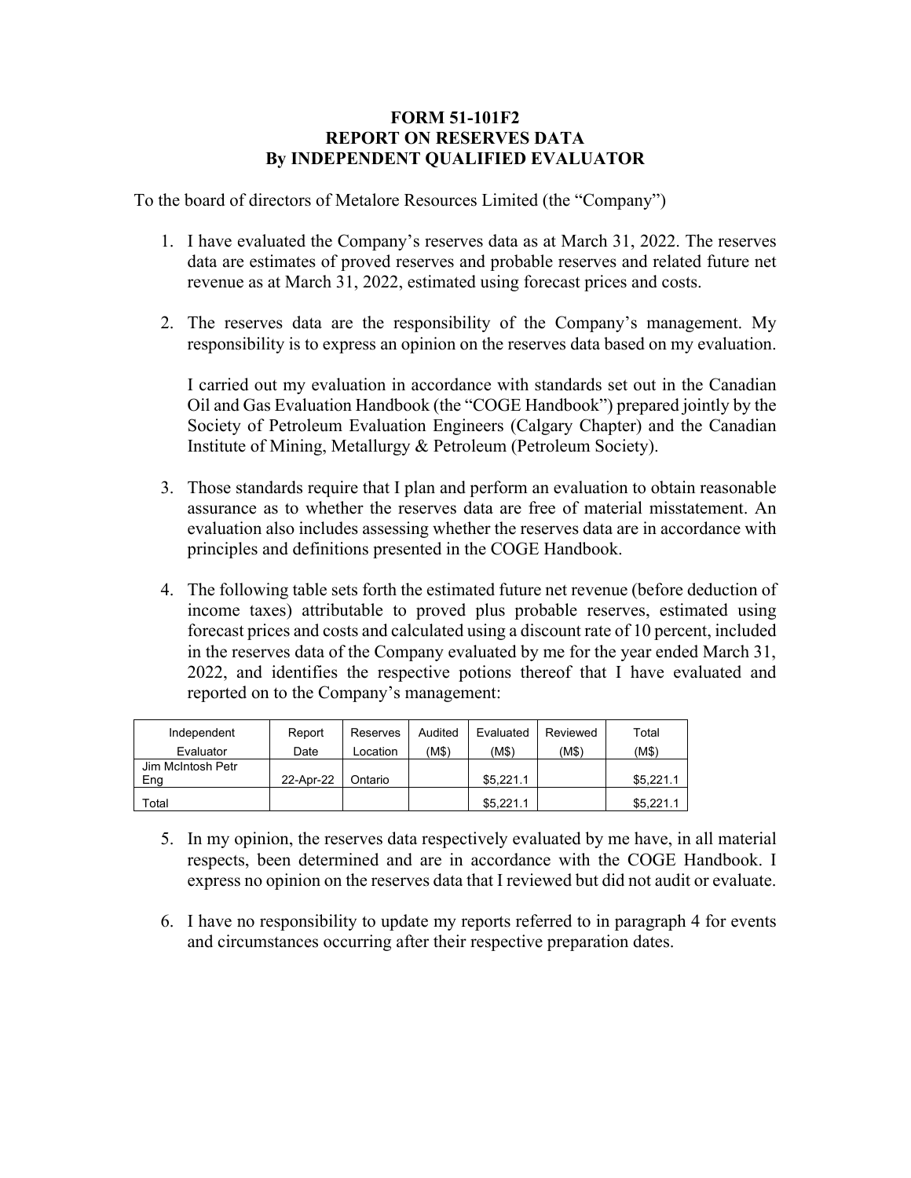## **FORM 51-101F2 REPORT ON RESERVES DATA By INDEPENDENT QUALIFIED EVALUATOR**

To the board of directors of Metalore Resources Limited (the "Company")

- 1. I have evaluated the Company's reserves data as at March 31, 2022. The reserves data are estimates of proved reserves and probable reserves and related future net revenue as at March 31, 2022, estimated using forecast prices and costs.
- 2. The reserves data are the responsibility of the Company's management. My responsibility is to express an opinion on the reserves data based on my evaluation.

I carried out my evaluation in accordance with standards set out in the Canadian Oil and Gas Evaluation Handbook (the "COGE Handbook") prepared jointly by the Society of Petroleum Evaluation Engineers (Calgary Chapter) and the Canadian Institute of Mining, Metallurgy & Petroleum (Petroleum Society).

- 3. Those standards require that I plan and perform an evaluation to obtain reasonable assurance as to whether the reserves data are free of material misstatement. An evaluation also includes assessing whether the reserves data are in accordance with principles and definitions presented in the COGE Handbook.
- 4. The following table sets forth the estimated future net revenue (before deduction of income taxes) attributable to proved plus probable reserves, estimated using forecast prices and costs and calculated using a discount rate of 10 percent, included in the reserves data of the Company evaluated by me for the year ended March 31, 2022, and identifies the respective potions thereof that I have evaluated and reported on to the Company's management:

| Independent       | Report    | Reserves | Audited | Evaluated | Reviewed | Total     |
|-------------------|-----------|----------|---------|-----------|----------|-----------|
| Evaluator         | Date      | Location | (M\$)   | (M\$)     | (M\$)    | (M\$)     |
| Jim McIntosh Petr |           |          |         |           |          |           |
| Eng               | 22-Apr-22 | Ontario  |         | \$5.221.1 |          | \$5,221.1 |
| Total             |           |          |         | \$5,221.1 |          | \$5,221.1 |

- 5. In my opinion, the reserves data respectively evaluated by me have, in all material respects, been determined and are in accordance with the COGE Handbook. I express no opinion on the reserves data that I reviewed but did not audit or evaluate.
- 6. I have no responsibility to update my reports referred to in paragraph 4 for events and circumstances occurring after their respective preparation dates.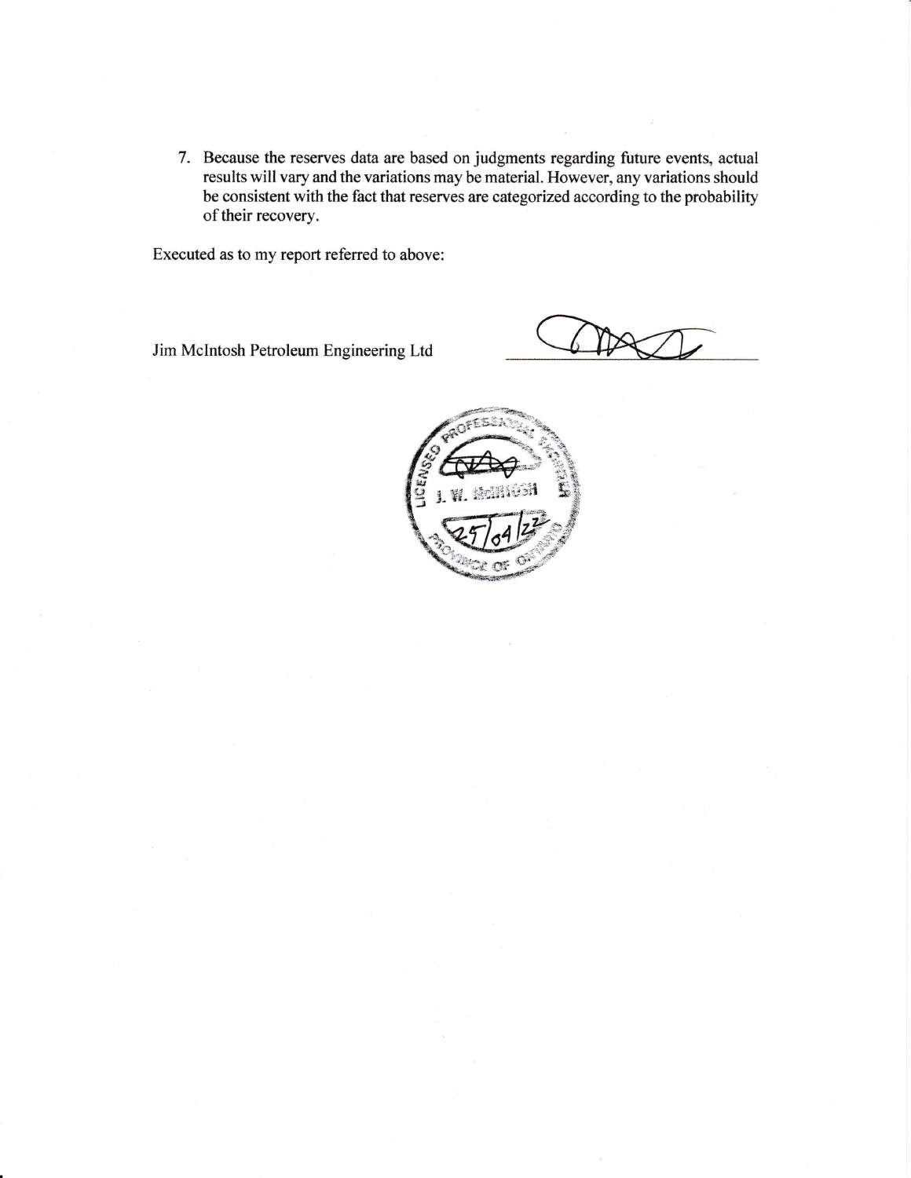7. Because the reserves data are based on judgments regarding future events, actual results will vary and the variations may be material. However, any variations should be consistent with the fact that reserves are categorized according to the probability of their recovery.

Executed as to my report referred to above:

Jim McIntosh Petroleum Engineering Ltd